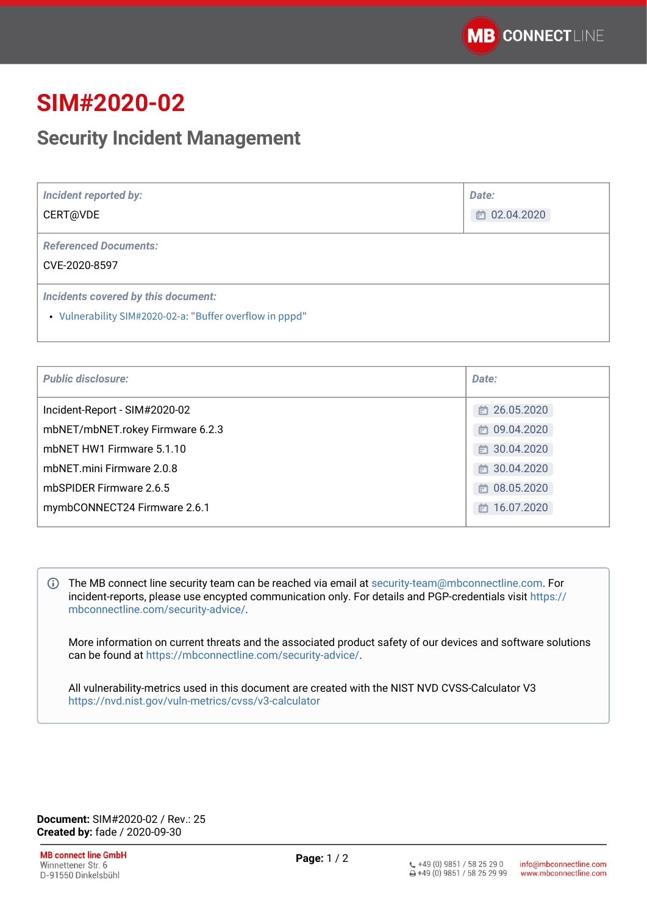# **SIM#2020-02**

## **Security Incident Management**

| <b>Incident reported by:</b><br>CERT@VDE                                                        | Date:<br>的 02.04.2020 |
|-------------------------------------------------------------------------------------------------|-----------------------|
| <b>Referenced Documents:</b><br>CVE-2020-8597                                                   |                       |
| Incidents covered by this document:<br>• Vulnerability SIM#2020-02-a: "Buffer overflow in pppd" |                       |

| <b>Public disclosure:</b>        | Date:            |
|----------------------------------|------------------|
| Incident-Report - SIM#2020-02    | □ 26.05.2020     |
| mbNET/mbNET.rokey Firmware 6.2.3 | □ 09.04.2020     |
| mbNET HW1 Firmware 5.1.10        | □ 30.04.2020     |
| mbNET.mini Firmware 2.0.8        | □ 30.04.2020     |
| mbSPIDER Firmware 2.6.5          | □ 08.05.2020     |
| mymbCONNECT24 Firmware 2.6.1     | 16.07.2020<br>m. |
|                                  |                  |

The MB connect line security team can be reached via email at [security-team@mbconnectline.com](mailto:security-team@mbconnectline.com). For incident-reports, please use encypted communication only. For details and PGP-credentials visit [https://](https://mbconnectline.com/security-advice/) [mbconnectline.com/security-advice/.](https://mbconnectline.com/security-advice/)

More information on current threats and the associated product safety of our devices and software solutions can be found at [https://mbconnectline.com/security-advice/.](https://mbconnectline.com/security-advice/)

All vulnerability-metrics used in this document are created with the NIST NVD CVSS-Calculator V3 <https://nvd.nist.gov/vuln-metrics/cvss/v3-calculator>

**Document:** SIM#2020-02 / Rev.: 25 **Created by:** fade / 2020-09-30